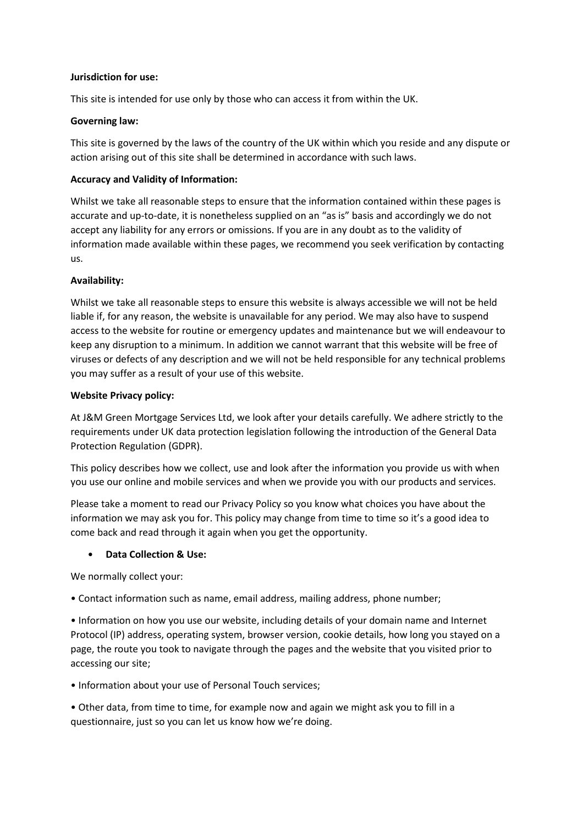#### **Jurisdiction for use:**

This site is intended for use only by those who can access it from within the UK.

# **Governing law:**

This site is governed by the laws of the country of the UK within which you reside and any dispute or action arising out of this site shall be determined in accordance with such laws.

# **Accuracy and Validity of Information:**

Whilst we take all reasonable steps to ensure that the information contained within these pages is accurate and up-to-date, it is nonetheless supplied on an "as is" basis and accordingly we do not accept any liability for any errors or omissions. If you are in any doubt as to the validity of information made available within these pages, we recommend you seek verification by contacting us.

# **Availability:**

Whilst we take all reasonable steps to ensure this website is always accessible we will not be held liable if, for any reason, the website is unavailable for any period. We may also have to suspend access to the website for routine or emergency updates and maintenance but we will endeavour to keep any disruption to a minimum. In addition we cannot warrant that this website will be free of viruses or defects of any description and we will not be held responsible for any technical problems you may suffer as a result of your use of this website.

## **Website Privacy policy:**

At J&M Green Mortgage Services Ltd, we look after your details carefully. We adhere strictly to the requirements under UK data protection legislation following the introduction of the General Data Protection Regulation (GDPR).

This policy describes how we collect, use and look after the information you provide us with when you use our online and mobile services and when we provide you with our products and services.

Please take a moment to read our Privacy Policy so you know what choices you have about the information we may ask you for. This policy may change from time to time so it's a good idea to come back and read through it again when you get the opportunity.

# • **Data Collection & Use:**

We normally collect your:

• Contact information such as name, email address, mailing address, phone number;

• Information on how you use our website, including details of your domain name and Internet Protocol (IP) address, operating system, browser version, cookie details, how long you stayed on a page, the route you took to navigate through the pages and the website that you visited prior to accessing our site;

• Information about your use of Personal Touch services;

• Other data, from time to time, for example now and again we might ask you to fill in a questionnaire, just so you can let us know how we're doing.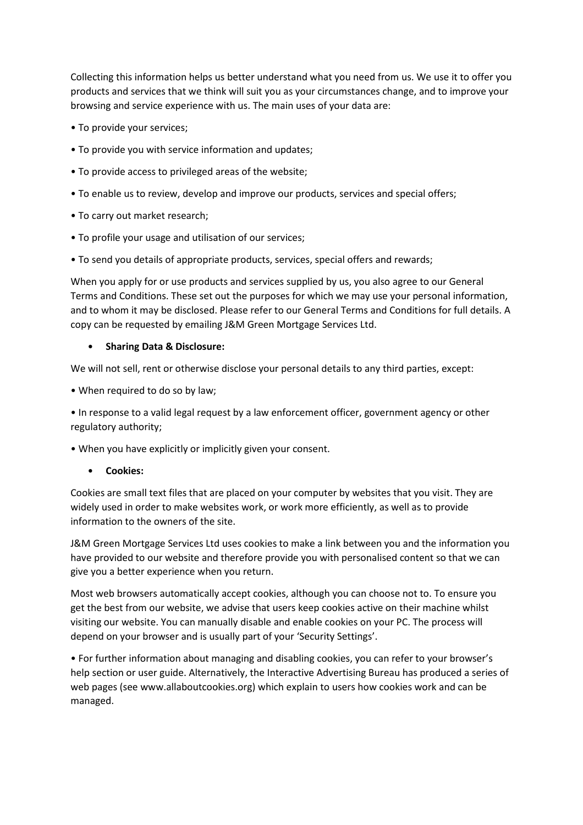Collecting this information helps us better understand what you need from us. We use it to offer you products and services that we think will suit you as your circumstances change, and to improve your browsing and service experience with us. The main uses of your data are:

- To provide your services;
- To provide you with service information and updates;
- To provide access to privileged areas of the website;
- To enable us to review, develop and improve our products, services and special offers;
- To carry out market research;
- To profile your usage and utilisation of our services;
- To send you details of appropriate products, services, special offers and rewards;

When you apply for or use products and services supplied by us, you also agree to our General Terms and Conditions. These set out the purposes for which we may use your personal information, and to whom it may be disclosed. Please refer to our General Terms and Conditions for full details. A copy can be requested by emailing J&M Green Mortgage Services Ltd.

## • **Sharing Data & Disclosure:**

We will not sell, rent or otherwise disclose your personal details to any third parties, except:

• When required to do so by law;

• In response to a valid legal request by a law enforcement officer, government agency or other regulatory authority;

• When you have explicitly or implicitly given your consent.

• **Cookies:**

Cookies are small text files that are placed on your computer by websites that you visit. They are widely used in order to make websites work, or work more efficiently, as well as to provide information to the owners of the site.

J&M Green Mortgage Services Ltd uses cookies to make a link between you and the information you have provided to our website and therefore provide you with personalised content so that we can give you a better experience when you return.

Most web browsers automatically accept cookies, although you can choose not to. To ensure you get the best from our website, we advise that users keep cookies active on their machine whilst visiting our website. You can manually disable and enable cookies on your PC. The process will depend on your browser and is usually part of your 'Security Settings'.

• For further information about managing and disabling cookies, you can refer to your browser's help section or user guide. Alternatively, the Interactive Advertising Bureau has produced a series of web pages (see www.allaboutcookies.org) which explain to users how cookies work and can be managed.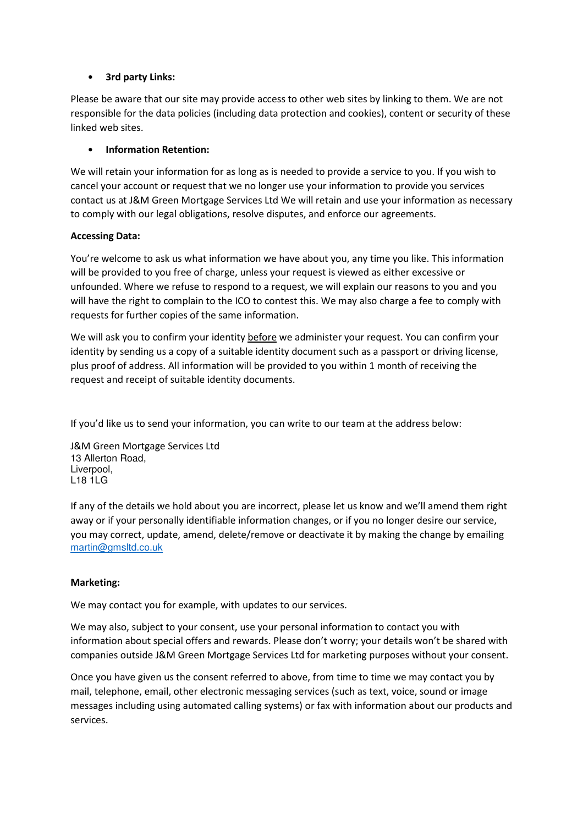# • **3rd party Links:**

Please be aware that our site may provide access to other web sites by linking to them. We are not responsible for the data policies (including data protection and cookies), content or security of these linked web sites.

# • **Information Retention:**

We will retain your information for as long as is needed to provide a service to you. If you wish to cancel your account or request that we no longer use your information to provide you services contact us at J&M Green Mortgage Services Ltd We will retain and use your information as necessary to comply with our legal obligations, resolve disputes, and enforce our agreements.

## **Accessing Data:**

You're welcome to ask us what information we have about you, any time you like. This information will be provided to you free of charge, unless your request is viewed as either excessive or unfounded. Where we refuse to respond to a request, we will explain our reasons to you and you will have the right to complain to the ICO to contest this. We may also charge a fee to comply with requests for further copies of the same information.

We will ask you to confirm your identity before we administer your request. You can confirm your identity by sending us a copy of a suitable identity document such as a passport or driving license, plus proof of address. All information will be provided to you within 1 month of receiving the request and receipt of suitable identity documents.

If you'd like us to send your information, you can write to our team at the address below:

J&M Green Mortgage Services Ltd 13 Allerton Road, Liverpool, L18 1LG

If any of the details we hold about you are incorrect, please let us know and we'll amend them right away or if your personally identifiable information changes, or if you no longer desire our service, you may correct, update, amend, delete/remove or deactivate it by making the change by emailing martin@gmsltd.co.uk

# **Marketing:**

We may contact you for example, with updates to our services.

We may also, subject to your consent, use your personal information to contact you with information about special offers and rewards. Please don't worry; your details won't be shared with companies outside J&M Green Mortgage Services Ltd for marketing purposes without your consent.

Once you have given us the consent referred to above, from time to time we may contact you by mail, telephone, email, other electronic messaging services (such as text, voice, sound or image messages including using automated calling systems) or fax with information about our products and services.